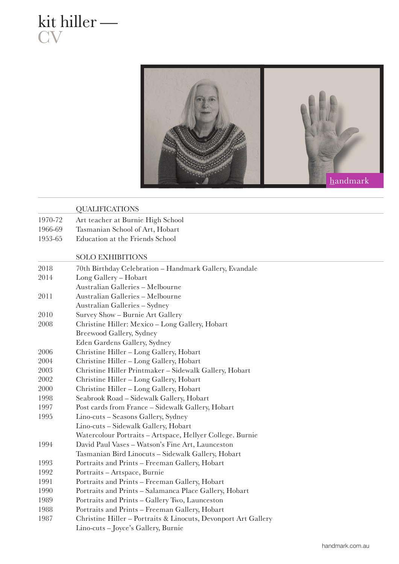kit hiller — **CV** 



## QUALIFICATIONS

- 1970-72 Art teacher at Burnie High School
- 1966-69 Tasmanian School of Art, Hobart
- 1953-65 Education at the Friends School

## SOLO EXHIBITIONS

| 2018 | 70th Birthday Celebration - Handmark Gallery, Evandale         |
|------|----------------------------------------------------------------|
| 2014 | Long Gallery - Hobart                                          |
|      | Australian Galleries - Melbourne                               |
| 2011 | Australian Galleries - Melbourne                               |
|      | Australian Galleries - Sydney                                  |
| 2010 | Survey Show - Burnie Art Gallery                               |
| 2008 | Christine Hiller: Mexico - Long Gallery, Hobart                |
|      | <b>Breewood Gallery, Sydney</b>                                |
|      | Eden Gardens Gallery, Sydney                                   |
| 2006 | Christine Hiller - Long Gallery, Hobart                        |
| 2004 | Christine Hiller - Long Gallery, Hobart                        |
| 2003 | Christine Hiller Printmaker - Sidewalk Gallery, Hobart         |
| 2002 | Christine Hiller - Long Gallery, Hobart                        |
| 2000 | Christine Hiller - Long Gallery, Hobart                        |
| 1998 | Seabrook Road - Sidewalk Gallery, Hobart                       |
| 1997 | Post cards from France - Sidewalk Gallery, Hobart              |
| 1995 | Lino-cuts - Seasons Gallery, Sydney                            |
|      | Lino-cuts – Sidewalk Gallery, Hobart                           |
|      | Watercolour Portraits - Artspace, Hellyer College. Burnie      |
| 1994 | David Paul Vases - Watson's Fine Art, Launceston               |
|      | Tasmanian Bird Linocuts - Sidewalk Gallery, Hobart             |
| 1993 | Portraits and Prints - Freeman Gallery, Hobart                 |
| 1992 | Portraits - Artspace, Burnie                                   |
| 1991 | Portraits and Prints - Freeman Gallery, Hobart                 |
| 1990 | Portraits and Prints - Salamanca Place Gallery, Hobart         |
| 1989 | Portraits and Prints - Gallery Two, Launceston                 |
| 1988 | Portraits and Prints - Freeman Gallery, Hobart                 |
| 1987 | Christine Hiller - Portraits & Linocuts, Devonport Art Gallery |
|      | Lino-cuts - Joyce's Gallery, Burnie                            |